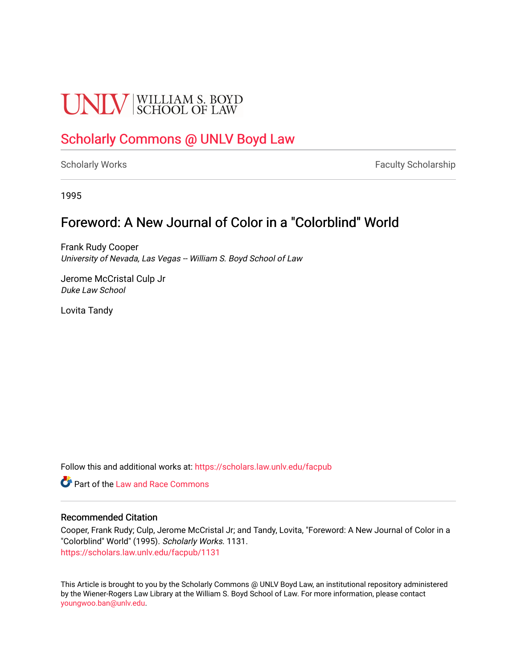# **UNLV** SCHOOL OF LAW

# [Scholarly Commons @ UNLV Boyd Law](https://scholars.law.unlv.edu/)

[Scholarly Works](https://scholars.law.unlv.edu/facpub) **Faculty Scholarship** Faculty Scholarship

1995

## Foreword: A New Journal of Color in a "Colorblind" World

Frank Rudy Cooper University of Nevada, Las Vegas -- William S. Boyd School of Law

Jerome McCristal Culp Jr Duke Law School

Lovita Tandy

Follow this and additional works at: [https://scholars.law.unlv.edu/facpub](https://scholars.law.unlv.edu/facpub?utm_source=scholars.law.unlv.edu%2Ffacpub%2F1131&utm_medium=PDF&utm_campaign=PDFCoverPages)

**C** Part of the Law and Race Commons

#### Recommended Citation

Cooper, Frank Rudy; Culp, Jerome McCristal Jr; and Tandy, Lovita, "Foreword: A New Journal of Color in a "Colorblind" World" (1995). Scholarly Works. 1131. [https://scholars.law.unlv.edu/facpub/1131](https://scholars.law.unlv.edu/facpub/1131?utm_source=scholars.law.unlv.edu%2Ffacpub%2F1131&utm_medium=PDF&utm_campaign=PDFCoverPages) 

This Article is brought to you by the Scholarly Commons @ UNLV Boyd Law, an institutional repository administered by the Wiener-Rogers Law Library at the William S. Boyd School of Law. For more information, please contact [youngwoo.ban@unlv.edu.](mailto:youngwoo.ban@unlv.edu)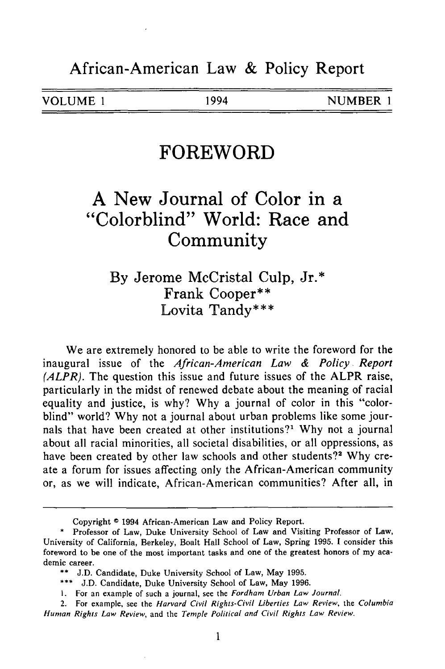### **FOREWORD**

## **A New Journal of Color in a "Colorblind" World: Race and Community**

**By** Jerome McCristal Culp, Jr.\* Frank Cooper\*\* Lovita Tandy\*\*\*

We are extremely honored to be able to write the foreword for the inaugural issue of the *African-American Law & Policy Report (ALPR).* The question this issue and future issues of the ALPR raise, particularly in the midst of renewed debate about the meaning of racial equality and justice, is why? Why a journal of color in this "colorblind" world? Why not a journal about urban problems like some journals that have been created at other institutions?<sup>1</sup> Why not a journal about all racial minorities, all societal disabilities, or all oppressions, as have been created by other law schools and other students?<sup>2</sup> Why create a forum for issues affecting only the African-American community or, as we will indicate, African-American communities? After all, in

Copyright © 1994 African-American Law and Policy Report.

<sup>\*</sup> Professor of Law, Duke University School of Law and Visiting Professor of Law, University of California, Berkeley, Boalt Hall School of Law, Spring 1995. **1** consider this foreword to be one of the most important tasks and one of the greatest honors of my academic career.

<sup>\*\*</sup> J.D. Candidate, Duke University School of Law, May 1995.

<sup>\*\*\*</sup> J.D. Candidate, Duke University School of Law, May 1996.

I. For an example of such a journal, see the *Fordham Urban Law Journal.*

<sup>2.</sup> For example, see the *Harvard Civil Rights-Civil Liberties Law Review,* the *Columbia Human Rights Law Review,* and the *Temple Political and Civil Rights Law Review.*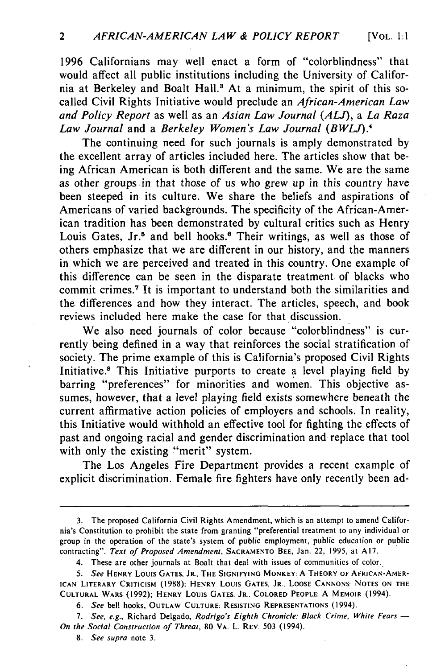1996 Californians may well enact a form of "colorblindness" that would affect all public institutions including the University of California at Berkeley and Boalt Hall.<sup>3</sup> At a minimum, the spirit of this socalled Civil Rights Initiative would preclude an *African-American Law and Policy Report* as well as an *Asian Law Journal (ALJ), a La Raza Law Journal* and a *Berkeley Women's Law Journal (BWLJ).4*

The continuing need for such journals is amply demonstrated by the excellent array of articles included here. The articles show that being African American is both different and the same. We are the same as other groups in that those of us who grew up in this country have been steeped in its culture. We share the beliefs and aspirations of Americans of varied backgrounds. The specificity of the African-American tradition has been demonstrated by cultural critics such as Henry Louis Gates, Jr.<sup>5</sup> and bell hooks.<sup>6</sup> Their writings, as well as those of others emphasize that we are different in our history, and the manners in which we are perceived and treated in this country. One example of this difference can be seen in the disparate treatment of blacks who commit crimes.7 It is important to understand both the similarities and the differences and how they interact. The articles, speech, and book reviews included here make the case for that discussion.

We also need journals of color because "colorblindness" is currently being defined in a way that reinforces the social stratification of society. The prime example of this is California's proposed Civil Rights Initiative.<sup>8</sup> This Initiative purports to create a level playing field by barring "preferences" for minorities and women. This objective assumes, however, that a level playing field exists somewhere beneath the current affirmative action policies of employers and schools. In reality, this Initiative would withhold an effective tool for fighting the effects of past and ongoing racial and gender discrimination and replace that tool with only the existing "merit" system.

The Los Angeles Fire Department provides a recent example of explicit discrimination. Female fire fighters have only recently been ad-

**<sup>3.</sup>** The proposed California Civil Rights Amendment, which is an attempt to amend California's Constitution to prohibit the state from granting "preferential treatment to any individual or group in the operation of the state's system of public employment, public education or public contracting". Text of Proposed Amendment, **SACRAMENTO BEE,** Jan. 22, 1995, at A17.

<sup>4.</sup> These are other journals at Boalt that deal with issues of communities of color.

*<sup>5.</sup>* **See HENRY** Louis **GATES,** JR., THE **SIGNIFYING MONKEY:** A **THEORY OF AFRICAN-AMER-ICAN LITERARY CRITICISM (1988): HENRY** Louis **GATES,** JR., **LOOSE CANNONS NOTES ON THE CULTURAL** WARS (1992); HENRY Louis **GATES,** JR., **COLORED** PEOPLE: A MEMOIR (1994).

**<sup>6.</sup>** See bell hooks, **OUTLAW CULTURE: RESISTING REPRESENTATIONS** (1994).

**<sup>7.</sup>** See, e.g., Richard Delgado, Rodrigo's Eighth Chronicle: Black Crime, White Fears *- On the* Social Construction **of** Threat, **80** VA. L. REV. **503** (1994).

*<sup>8.</sup> See supra* note **3.**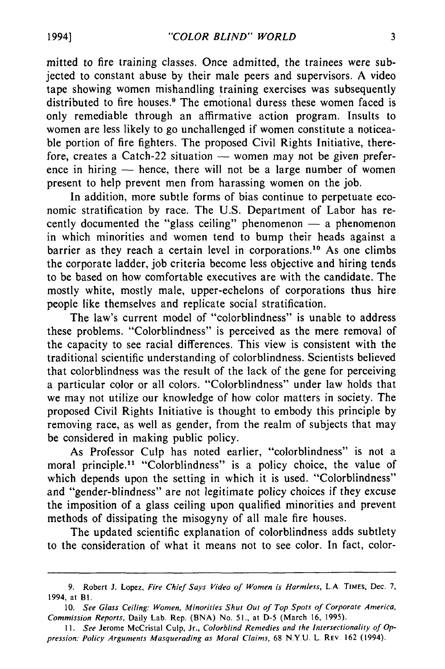mitted to fire training classes. Once admitted, the trainees were subjected to constant abuse by their male peers and supervisors. A video tape showing women mishandling training exercises was subsequently distributed to fire houses.<sup>9</sup> The emotional duress these women faced is only remediable through an affirmative action program. Insults to women are less likely to go unchallenged if women constitute a noticeable portion of fire fighters. The proposed Civil Rights Initiative, therefore, creates a Catch-22 situation  $-$  women may not be given preference in hiring  $-$  hence, there will not be a large number of women present to help prevent men from harassing women on the job.

In addition, more subtle forms of bias continue to perpetuate economic stratification by race. The U.S. Department of Labor has recently documented the "glass ceiling" phenomenon  $-$  a phenomenon in which minorities and women tend to bump their heads against a barrier as they reach a certain level in corporations.'0 As one climbs the corporate ladder, job criteria become less objective and hiring tends to be based on how comfortable executives are with the candidate. The mostly white, mostly male, upper-echelons of corporations thus hire people like themselves and replicate social stratification.

The law's current model of "colorblindness" is unable to address these problems. "Colorblindness" is perceived as the mere removal of the capacity to see racial differences. This view is consistent with the traditional scientific understanding of colorblindness. Scientists believed that colorblindness was the result of the lack of the gene for perceiving a particular color or all colors. "Colorblindness" under law holds that we may not utilize our knowledge of how color matters in society. The proposed Civil Rights Initiative is thought to embody this principle by removing race, as well as gender, from the realm of subjects that may be considered in making public policy.

As Professor Culp has noted earlier, "colorblindness" is not a moral principle.<sup>11</sup> "Colorblindness" is a policy choice, the value of which depends upon the setting in which it is used. "Colorblindness" and "gender-blindness" are not legitimate policy choices if they excuse the imposition of a glass ceiling upon qualified minorities and prevent methods of dissipating the misogyny of all male fire houses.

The updated scientific explanation of colorblindness adds subtlety to the consideration of what it means not to see color. In fact, color-

1994]

**<sup>9.</sup>** Robert **J.** Lopez, Fire Chief *Says Video of Women is Harmless,* **L.A** TIMES, Dec. **7,** 1994, at **BI.**

**<sup>10.</sup>** *See Glass Ceiling: Women, Minorities Shut Out of Top Spots of Corporate America,* Commission *Reports,* Daily Lab. Rep. **(BNA)** No. **51.,** at **D-5** (March **16, 1995).**

*<sup>1</sup>I. See* Jerome McCristal Culp, Jr., *Colorblind Remedies and the Intersectionality of Oppression: Policy Arguments Masquerading as Moral Claims,* **68 NYU. L** REV. **162** (1994).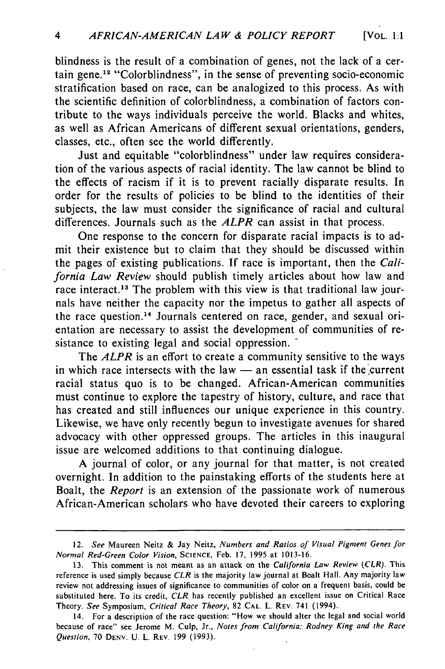blindness is the result of a combination of genes, not the lack of a certain gene.<sup>12</sup> "Colorblindness", in the sense of preventing socio-economic stratification based on race, can be analogized to this process. As with the scientific definition of colorblindness, a combination of factors contribute to the ways individuals perceive the world. Blacks and whites, as well as African Americans of different sexual orientations, genders, classes, etc., often see the world differently.

Just and equitable "colorblindness" under law requires consideration of the various aspects of racial identity. The law cannot be blind to the effects of racism if it is to prevent racially disparate results. In order for the results of policies to be blind to the identities of their subjects, the law must consider the significance of racial and cultural differences. Journals such as the *ALPR* can assist in that process.

One response to the concern for disparate racial impacts is to admit their existence but to claim that they should be discussed within the pages of existing publications. If race is important, then the *California Law Review* should publish timely articles about how law and race interact.<sup>13</sup> The problem with this view is that traditional law journals have neither the capacity nor the impetus to gather all aspects of the race question.<sup>14</sup> Journals centered on race, gender, and sexual orientation are necessary to assist the development of communities of resistance to existing legal and social oppression.

The *ALPR* is an effort to create a community sensitive to the ways in which race intersects with the law — an essential task if the current racial status quo is to be changed. African-American communities must continue to explore the tapestry of history, culture, and race that has created and still influences our unique experience in this country. Likewise, we have only recently begun to investigate avenues for shared advocacy with other oppressed groups. The articles in this inaugural issue are welcomed additions to that continuing dialogue.

A journal of color, or any journal for that matter, is not created overnight. In addition to the painstaking efforts of the students here at Boalt, the *Report* is an extension of the passionate work of numerous African-American scholars who have devoted their careers to exploring

<sup>12.</sup> *See* Maureen Neitz & Jay Neitz, *Numbers and Ratios of Visual Pigment Genes for Normal Red-Green Color Vision,* **SCIENCE,** Feb. 17, 1995 at 1013-16.

<sup>13.</sup> This comment is not meant as an attack on the *California Law Review (CLR).* This reference is used simply because *CLR* is the majority law journal at Boalt Hall. Any majority law review not addressing issues of significance to communities of color on a frequent basis, could be substituted here. To its credit, *CLR* has recently published an excellent issue on Critical Race Theory. *See* Symposium, *Critical Race Theory,* **82 CAL.** L. REV. 741 (1994).

<sup>14.</sup> For a description of the race.question: "How we should alter the legal and social world because of race" see Jerome M. Culp, Jr., *Notes from California: Rodney King and the Race Question,* 70 **DENY. U.** L. REV. **199** (1993).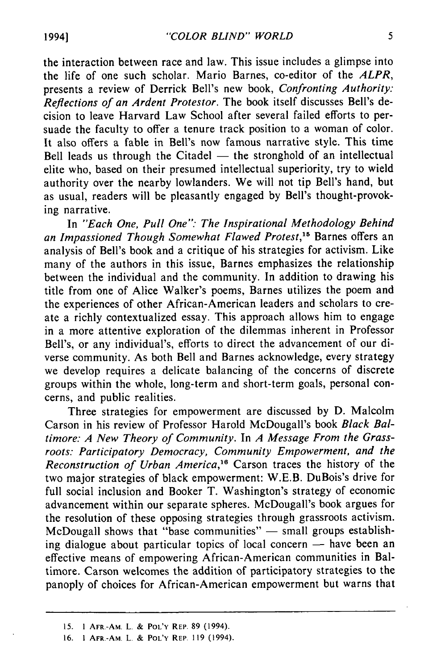the interaction between race and law. This issue includes a glimpse into the life of one such scholar. Mario Barnes, co-editor of the *ALPR,* presents a review of Derrick Bell's new book, *Confronting Authority: Reflections of an Ardent Protestor.* The book itself discusses Bell's decision to leave Harvard Law School after several failed efforts to persuade the faculty to offer a tenure track position to a woman of color. It also offers a fable in Bell's now famous narrative style. This time Bell leads us through the Citadel  $-$  the stronghold of an intellectual elite who, based on their presumed intellectual superiority, try to wield authority over the nearby lowlanders. We will not tip Bell's hand, but as usual, readers will be pleasantly engaged by Bell's thought-provoking narrative.

In *"Each One, Pull One": The Inspirational Methodology Behind an Impassioned Though Somewhat Flawed Protest,15* Barnes offers an analysis of Bell's book and a critique of his strategies for activism. Like many of the authors in this issue, Barnes emphasizes the relationship between the individual and the community. In addition to drawing his title from one of Alice Walker's poems, Barnes utilizes the poem and the experiences of other African-American leaders and scholars to create a richly contextualized essay. This approach allows him to engage in a more attentive exploration of the dilemmas inherent in Professor Bell's, or any individual's, efforts to direct the advancement of our diverse community. As both Bell and Barnes acknowledge, every strategy we develop requires a delicate balancing of the concerns of discrete groups within the whole, long-term and short-term goals, personal concerns, and public realities.

Three strategies for empowerment are discussed by D. Malcolm Carson in his review of Professor Harold McDougall's book *Black Baltimore: A New Theory of Community.* In *A Message From the Grassroots: Participatory Democracy, Community Empowerment, and the Reconstruction of Urban America,"6* Carson traces the history of the two major strategies of black empowerment: W.E.B. DuBois's drive for full social inclusion and Booker T. Washington's strategy of economic advancement within our separate spheres. McDougall's book argues for the resolution of these opposing strategies through grassroots activism. McDougall shows that "base communities"  $-$  small groups establishing dialogue about particular topics of local concern  $-$  have been an effective means of empowering African-American communities in Baltimore. Carson welcomes the addition of participatory strategies to the panoply of choices for African-American empowerment but warns that

**<sup>15. 1</sup>** AFR.-AM. L. **& POL'Y** REP 89 (1994).

**<sup>16.</sup>** 1 AFR.-AM. L. **& POL'Y** REP. **119** (1994).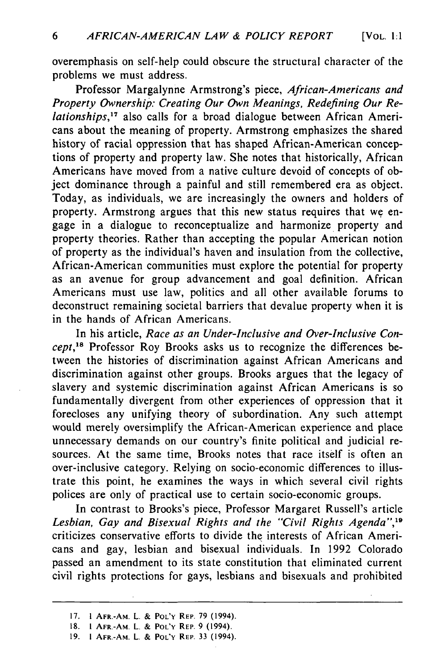overemphasis on self-help could obscure the structural character of the problems we must address.

Professor Margalynne Armstrong's piece, *African-Americans and Property Ownership: Creating Our Own Meanings, Redefining Our Relationships,"'* also calls for a broad dialogue between African Americans about the meaning of property. Armstrong emphasizes the shared history of racial oppression that has shaped African-American conceptions of property and property law. She notes that historically, African Americans have moved from a native culture devoid of concepts of object dominance through a painful and still remembered era as object. Today, as individuals, we are increasingly the owners and holders of property. Armstrong argues that this new status requires that we engage in a dialogue to reconceptualize and harmonize property and property theories. Rather than accepting the popular American notion of property as the individual's haven and insulation from the collective, African-American communities must explore the potential for property as an avenue for group advancement and goal definition. African Americans must use law, politics and all other available forums to deconstruct remaining societal barriers that devalue property when it is in the hands of African Americans.

In his article, *Race as an Under-Inclusive and Over-Inclusive Concept,"8* Professor Roy Brooks asks us to recognize the differences between the histories of discrimination against African Americans and discrimination against other groups. Brooks argues that the legacy of slavery and systemic discrimination against African Americans is so fundamentally divergent from other experiences of oppression that it forecloses any unifying theory of subordination. Any such attempt would merely oversimplify the African-American experience and place unnecessary demands on our country's finite political and judicial resources. At the same time, Brooks notes that race itself is often an over-inclusive category. Relying on socio-economic differences to illustrate this point, he examines the ways in which several civil rights polices are only of practical use to certain socio-economic groups.

In contrast to Brooks's piece, Professor Margaret Russell's article *Lesbian, Gay and Bisexual Rights and the "Civil Rights Agenda", <sup>9</sup>* criticizes conservative efforts to divide the interests of African Americans and gay, lesbian and bisexual individuals. In 1992 Colorado passed an amendment to its state constitution that eliminated current civil rights protections for gays, lesbians and bisexuals and prohibited

<sup>17. 1</sup> AFR.-AM. L. **&** POL'Y REP. **79** (1994).

**<sup>18. 1</sup>** AFR.-AM. **L. & POL'Y REP. 9** (1994).

**<sup>19. 1</sup>** AFR.-AM. **L.** & **POL'Y** REP. 33 (1994).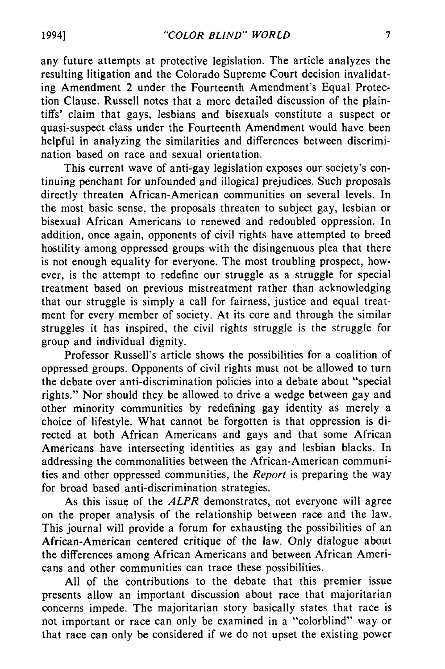any future attempts at protective legislation. The article analyzes the resulting litigation and the Colorado Supreme Court decision invalidating Amendment 2 under the Fourteenth Amendment's Equal Protection Clause. Russell notes that a more detailed discussion of the plaintiffs' claim that gays, lesbians and bisexuals constitute a suspect or quasi-suspect class under the Fourteenth Amendment would have been helpful in analyzing the similarities and differences between discrimination based on race and sexual orientation.

This current wave of anti-gay legislation exposes our society's continuing penchant for unfounded and illogical prejudices. Such proposals directly threaten African-American communities on several levels. In the most basic sense, the proposals threaten to subject gay, lesbian or bisexual African Americans to renewed and redoubled oppression. In addition, once again, opponents of civil rights have attempted to breed hostility among oppressed groups with the disingenuous plea that there is not enough equality for everyone. The most troubling prospect, however, is the attempt to redefine our struggle as a struggle for special treatment based on previous mistreatment rather than acknowledging that our struggle is simply a call for fairness, justice and equal treatment for every member of society. At its core and through the similar struggles it has inspired, the civil rights struggle is the struggle for group and individual dignity.

Professor Russell's article shows the possibilities for a coalition of oppressed groups. Opponents of civil rights must not be allowed to turn the debate over anti-discrimination policies into a debate about "special rights." Nor should they be allowed to drive a wedge between gay and other minority communities by redefining gay identity as merely a choice of lifestyle. What cannot be forgotten is that oppression is directed at both African Americans and gays and that some African Americans have intersecting identities as gay and lesbian blacks. In addressing the commonalities between the African-American communities and other oppressed communities, the *Report* is preparing the way for broad based anti-discrimination strategies.

As this issue of the *ALPR* demonstrates, not everyone will agree on the proper analysis of the relationship between race and the law. This journal will provide a forum for exhausting the possibilities of an African-American centered critique of the law. Only dialogue about the differences among African Americans and between African Americans and other communities can trace these possibilities.

All of the contributions to the debate that this premier issue presents allow an important discussion about race that majoritarian concerns impede. The majoritarian story basically states that race is not important or race can only be examined in a "colorblind" way or that race can only be considered if we do not upset the existing power